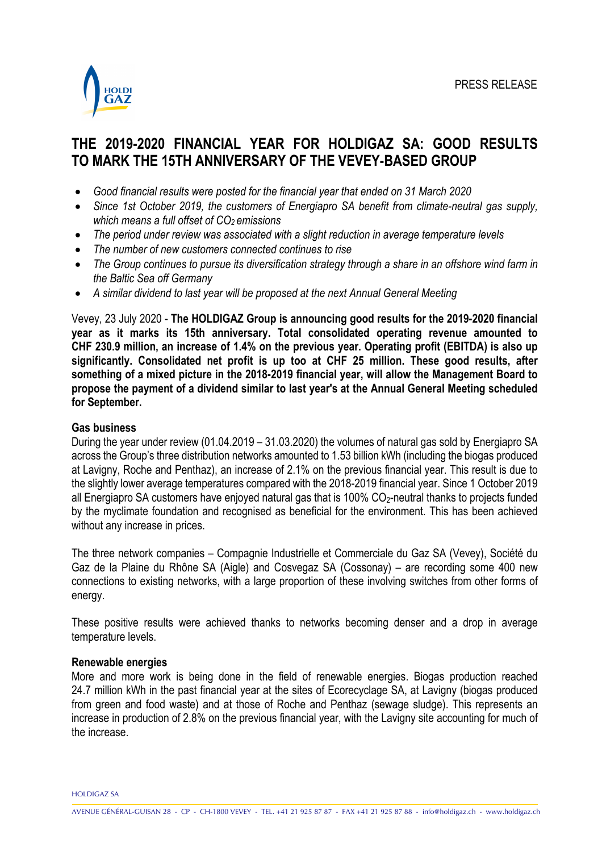

# **THE 2019-2020 FINANCIAL YEAR FOR HOLDIGAZ SA: GOOD RESULTS TO MARK THE 15TH ANNIVERSARY OF THE VEVEY-BASED GROUP**

- *Good financial results were posted for the financial year that ended on 31 March 2020*
- *Since 1st October 2019, the customers of Energiapro SA benefit from climate-neutral gas supply, which means a full offset of CO2 emissions*
- *The period under review was associated with a slight reduction in average temperature levels*
- *The number of new customers connected continues to rise*
- *The Group continues to pursue its diversification strategy through a share in an offshore wind farm in the Baltic Sea off Germany*
- *A similar dividend to last year will be proposed at the next Annual General Meeting*

Vevey, 23 July 2020 - **The HOLDIGAZ Group is announcing good results for the 2019-2020 financial year as it marks its 15th anniversary. Total consolidated operating revenue amounted to CHF 230.9 million, an increase of 1.4% on the previous year. Operating profit (EBITDA) is also up significantly. Consolidated net profit is up too at CHF 25 million. These good results, after something of a mixed picture in the 2018-2019 financial year, will allow the Management Board to propose the payment of a dividend similar to last year's at the Annual General Meeting scheduled for September.** 

# **Gas business**

During the year under review (01.04.2019 – 31.03.2020) the volumes of natural gas sold by Energiapro SA across the Group's three distribution networks amounted to 1.53 billion kWh (including the biogas produced at Lavigny, Roche and Penthaz), an increase of 2.1% on the previous financial year. This result is due to the slightly lower average temperatures compared with the 2018-2019 financial year. Since 1 October 2019 all Energiapro SA customers have enjoyed natural gas that is 100% CO<sub>2</sub>-neutral thanks to projects funded by the myclimate foundation and recognised as beneficial for the environment. This has been achieved without any increase in prices.

The three network companies – Compagnie Industrielle et Commerciale du Gaz SA (Vevey), Société du Gaz de la Plaine du Rhône SA (Aigle) and Cosvegaz SA (Cossonay) – are recording some 400 new connections to existing networks, with a large proportion of these involving switches from other forms of energy.

These positive results were achieved thanks to networks becoming denser and a drop in average temperature levels.

# **Renewable energies**

More and more work is being done in the field of renewable energies. Biogas production reached 24.7 million kWh in the past financial year at the sites of Ecorecyclage SA, at Lavigny (biogas produced from green and food waste) and at those of Roche and Penthaz (sewage sludge). This represents an increase in production of 2.8% on the previous financial year, with the Lavigny site accounting for much of the increase.

HOLDIGAZ SA